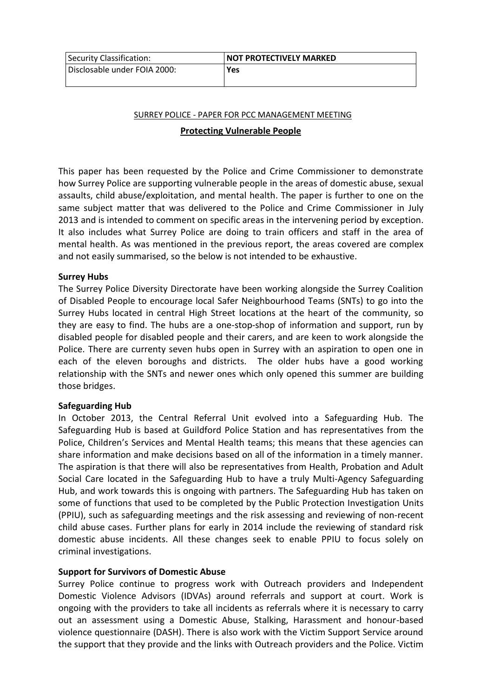| Security Classification:     | <b>INOT PROTECTIVELY MARKED</b> |
|------------------------------|---------------------------------|
| Disclosable under FOIA 2000: | <b>Yes</b>                      |

# SURREY POLICE - PAPER FOR PCC MANAGEMENT MEETING

# **Protecting Vulnerable People**

This paper has been requested by the Police and Crime Commissioner to demonstrate how Surrey Police are supporting vulnerable people in the areas of domestic abuse, sexual assaults, child abuse/exploitation, and mental health. The paper is further to one on the same subject matter that was delivered to the Police and Crime Commissioner in July 2013 and is intended to comment on specific areas in the intervening period by exception. It also includes what Surrey Police are doing to train officers and staff in the area of mental health. As was mentioned in the previous report, the areas covered are complex and not easily summarised, so the below is not intended to be exhaustive.

# **Surrey Hubs**

The Surrey Police Diversity Directorate have been working alongside the Surrey Coalition of Disabled People to encourage local Safer Neighbourhood Teams (SNTs) to go into the Surrey Hubs located in central High Street locations at the heart of the community, so they are easy to find. The hubs are a one-stop-shop of information and support, run by disabled people for disabled people and their carers, and are keen to work alongside the Police. There are currenty seven hubs open in Surrey with an aspiration to open one in each of the eleven boroughs and districts. The older hubs have a good working relationship with the SNTs and newer ones which only opened this summer are building those bridges.

#### **Safeguarding Hub**

In October 2013, the Central Referral Unit evolved into a Safeguarding Hub. The Safeguarding Hub is based at Guildford Police Station and has representatives from the Police, Children's Services and Mental Health teams; this means that these agencies can share information and make decisions based on all of the information in a timely manner. The aspiration is that there will also be representatives from Health, Probation and Adult Social Care located in the Safeguarding Hub to have a truly Multi-Agency Safeguarding Hub, and work towards this is ongoing with partners. The Safeguarding Hub has taken on some of functions that used to be completed by the Public Protection Investigation Units (PPIU), such as safeguarding meetings and the risk assessing and reviewing of non-recent child abuse cases. Further plans for early in 2014 include the reviewing of standard risk domestic abuse incidents. All these changes seek to enable PPIU to focus solely on criminal investigations.

#### **Support for Survivors of Domestic Abuse**

Surrey Police continue to progress work with Outreach providers and Independent Domestic Violence Advisors (IDVAs) around referrals and support at court. Work is ongoing with the providers to take all incidents as referrals where it is necessary to carry out an assessment using a Domestic Abuse, Stalking, Harassment and honour-based violence questionnaire (DASH). There is also work with the Victim Support Service around the support that they provide and the links with Outreach providers and the Police. Victim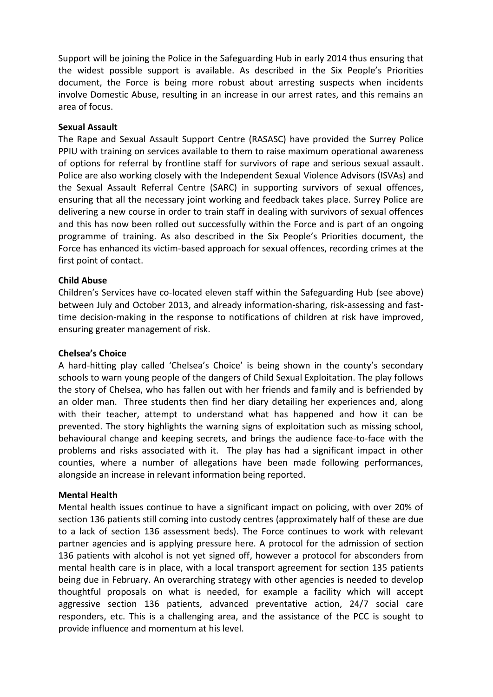Support will be joining the Police in the Safeguarding Hub in early 2014 thus ensuring that the widest possible support is available. As described in the Six People's Priorities document, the Force is being more robust about arresting suspects when incidents involve Domestic Abuse, resulting in an increase in our arrest rates, and this remains an area of focus.

### **Sexual Assault**

The Rape and Sexual Assault Support Centre (RASASC) have provided the Surrey Police PPIU with training on services available to them to raise maximum operational awareness of options for referral by frontline staff for survivors of rape and serious sexual assault. Police are also working closely with the Independent Sexual Violence Advisors (ISVAs) and the Sexual Assault Referral Centre (SARC) in supporting survivors of sexual offences, ensuring that all the necessary joint working and feedback takes place. Surrey Police are delivering a new course in order to train staff in dealing with survivors of sexual offences and this has now been rolled out successfully within the Force and is part of an ongoing programme of training. As also described in the Six People's Priorities document, the Force has enhanced its victim-based approach for sexual offences, recording crimes at the first point of contact.

## **Child Abuse**

Children's Services have co-located eleven staff within the Safeguarding Hub (see above) between July and October 2013, and already information-sharing, risk-assessing and fasttime decision-making in the response to notifications of children at risk have improved, ensuring greater management of risk.

### **Chelsea's Choice**

A hard-hitting play called 'Chelsea's Choice' is being shown in the county's secondary schools to warn young people of the dangers of Child Sexual Exploitation. The play follows the story of Chelsea, who has fallen out with her friends and family and is befriended by an older man. Three students then find her diary detailing her experiences and, along with their teacher, attempt to understand what has happened and how it can be prevented. The story highlights the warning signs of exploitation such as missing school, behavioural change and keeping secrets, and brings the audience face-to-face with the problems and risks associated with it. The play has had a significant impact in other counties, where a number of allegations have been made following performances, alongside an increase in relevant information being reported.

#### **Mental Health**

Mental health issues continue to have a significant impact on policing, with over 20% of section 136 patients still coming into custody centres (approximately half of these are due to a lack of section 136 assessment beds). The Force continues to work with relevant partner agencies and is applying pressure here. A protocol for the admission of section 136 patients with alcohol is not yet signed off, however a protocol for absconders from mental health care is in place, with a local transport agreement for section 135 patients being due in February. An overarching strategy with other agencies is needed to develop thoughtful proposals on what is needed, for example a facility which will accept aggressive section 136 patients, advanced preventative action, 24/7 social care responders, etc. This is a challenging area, and the assistance of the PCC is sought to provide influence and momentum at his level.